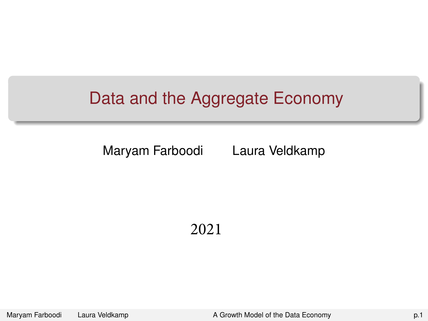### <span id="page-0-0"></span>Data and the Aggregate Economy

Maryam Farboodi Laura Veldkamp

2021

Maryam Farboodi Laura Veldkamp **[A Growth Model of the Data Economy](#page-19-0) A Growth Model of the Data Economy p.1**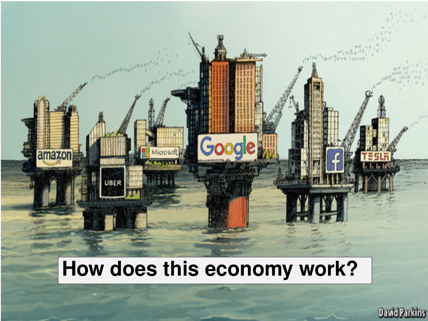# **How does this economy work?**

amazon

UBER

**Google** 

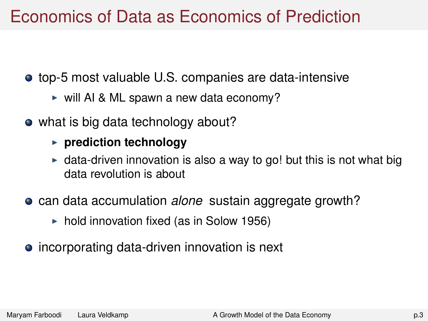### Economics of Data as Economics of Prediction

top-5 most valuable U.S. companies are data-intensive

- $\triangleright$  will AI & ML spawn a new data economy?
- what is big data technology about?
	- **P** prediction technology
	- $\bullet$  data-driven innovation is also a way to go! but this is not what big data revolution is about
- **can data accumulation** *alone* sustain aggregate growth?
	- $\triangleright$  hold innovation fixed (as in Solow 1956)
- incorporating data-driven innovation is next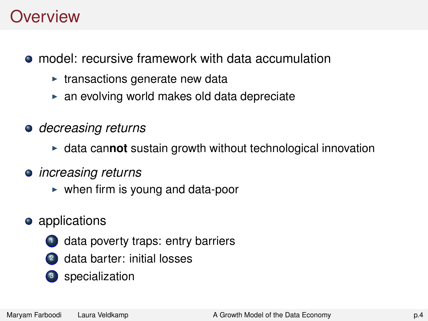### **Overview**

model: recursive framework with data accumulation

- $\triangleright$  transactions generate new data
- $\triangleright$  an evolving world makes old data depreciate
- *decreasing returns*
	- **I** data cannot sustain growth without technological innovation
- *increasing returns*
	- $\triangleright$  when firm is young and data-poor
- **•** applications
	- data poverty traps: entry barriers
	- <sup>2</sup> data barter: initial losses
	- <sup>3</sup> specialization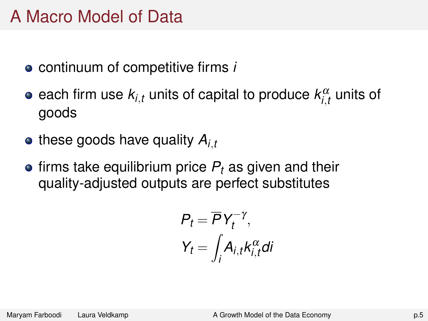### A Macro Model of Data

- continuum of competitive firms *i*
- each firm use  $\mathsf{k}_{\mathsf{i},t}$  units of capital to produce  $\mathsf{k}^\alpha_{\mathsf{i},t}$  units of goods
- $\bullet$  these goods have quality  $A_i$ ,
- $\bullet$  firms take equilibrium price  $P_t$  as given and their quality-adjusted outputs are perfect substitutes

$$
P_t = \overline{P} Y_t^{-\gamma},
$$
  

$$
Y_t = \int_i A_{i,t} k_{i,t}^{\alpha} dt
$$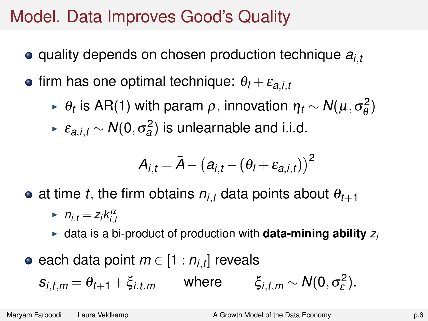### Model. Data Improves Good's Quality

- quality depends on chosen production technique *ai*,*<sup>t</sup>*
- $\bullet$  firm has one optimal technique:  $\theta_t + \varepsilon_{a,i,t}$ 
	- <sup>I</sup> θ*t* is AR(1) with param ρ, innovation η*<sup>t</sup>* ∼ *N*(µ,σ 2  $\frac{2}{\theta}$
	- <sup>I</sup> ε*a*,*i*,*<sup>t</sup>* ∼ *N*(0,σ 2 *a* ) is unlearnable and i.i.d.

$$
\boldsymbol{\mathsf{A}}_{i,t} = \bar{\boldsymbol{\mathsf{A}}} - \big(\boldsymbol{\mathsf{a}}_{i,t} - (\theta_t + \varepsilon_{\boldsymbol{\mathsf{a}},i,t})\big)^2
$$

- at time *t*, the firm obtains  $n_{i,t}$  data points about  $\theta_{t+1}$ 
	- $\blacktriangleright$   $n_{i,t} = z_i k_{i,t}^\alpha$
	- $\triangleright$  data is a bi-product of production with **data-mining ability**  $z_i$
- each data point *m* ∈ [1 : *ni*,*<sup>t</sup>* ] reveals

$$
s_{i,t,m} = \theta_{t+1} + \xi_{i,t,m} \qquad \text{where} \qquad \xi_{i,t,m} \sim N(0, \sigma_{\varepsilon}^2).
$$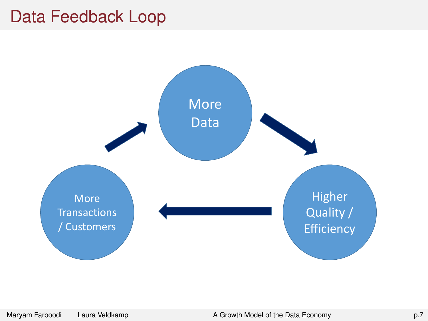### Data Feedback Loop

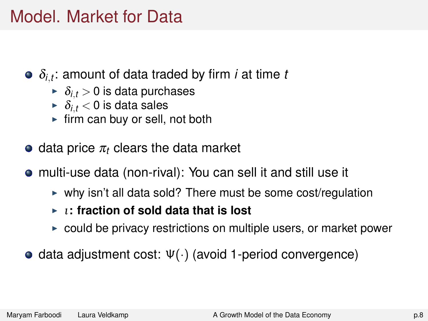### Model. Market for Data

- δ*i*,*t* : amount of data traded by firm *i* at time *t*
	- $\delta_i$ ,  $\geq 0$  is data purchases
	- $\blacktriangleright$   $\delta_{i,t}$  < 0 is data sales
	- $\blacktriangleright$  firm can buy or sell, not both
- $\bullet$  data price  $\pi_t$  clears the data market
- multi-use data (non-rival): You can sell it and still use it
	- $\triangleright$  why isn't all data sold? There must be some cost/regulation
	- <sup>I</sup> ι**: fraction of sold data that is lost**
	- $\triangleright$  could be privacy restrictions on multiple users, or market power
- $\bullet$  data adjustment cost:  $Ψ(·)$  (avoid 1-period convergence)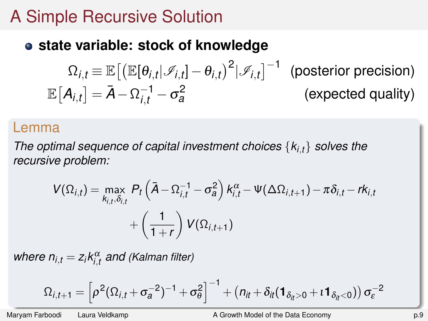### A Simple Recursive Solution

### **state variable: stock of knowledge**

$$
\Omega_{i,t} \equiv \mathbb{E}\big[\big(\mathbb{E}[\theta_{i,t}|\mathcal{I}_{i,t}] - \theta_{i,t}\big)^2|\mathcal{I}_{i,t}\big]^{-1} \quad \text{(posterior precision)}
$$
\n
$$
\mathbb{E}\big[A_{i,t}\big] = \bar{A} - \Omega_{i,t}^{-1} - \sigma_a^2 \qquad \qquad \text{(expected quality)}
$$

#### Lemma

*The optimal sequence of capital investment choices* {*ki*,*t*} *solves the recursive problem:*

$$
V(\Omega_{i,t}) = \max_{k_{i,t}, \delta_{i,t}} P_t \left( \bar{A} - \Omega_{i,t}^{-1} - \sigma_a^2 \right) k_{i,t}^{\alpha} - \Psi(\Delta \Omega_{i,t+1}) - \pi \delta_{i,t} - r k_{i,t} + \left( \frac{1}{1+r} \right) V(\Omega_{i,t+1})
$$

 $where n_{i,t} = z_i k_{i,t}^{\alpha}$  and *(Kalman filter)* 

$$
\Omega_{i,t+1} = \left[\rho^2(\Omega_{i,t} + \sigma_a^{-2})^{-1} + \sigma_\theta^2\right]^{-1} + \left(n_{it} + \delta_{it}(\mathbf{1}_{\delta_{it}>0} + \iota \mathbf{1}_{\delta_{it}<0})\right)\sigma_{\varepsilon}^{-2}
$$

Maryam Farboodi Laura Veldkamp **A Growth Model of the Data Economy A Growth Model of the Data Economy p.9**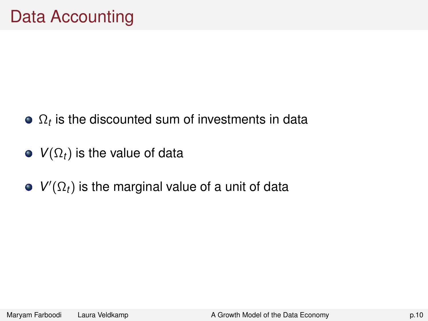- $\Omega_t$  is the discounted sum of investments in data
- $\bullet$  *V*( $\Omega_t$ ) is the value of data
- $V'(\Omega_t)$  is the marginal value of a unit of data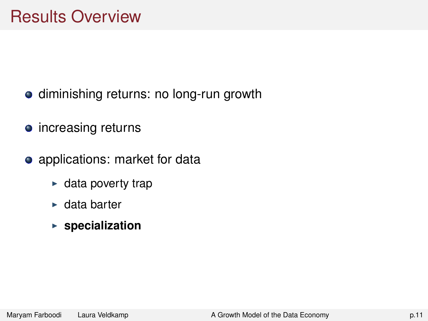### Results Overview

- diminishing returns: no long-run growth
- increasing returns
- applications: market for data
	- $\blacktriangleright$  data poverty trap
	- $\blacktriangleright$  data barter
	- **Exercialization**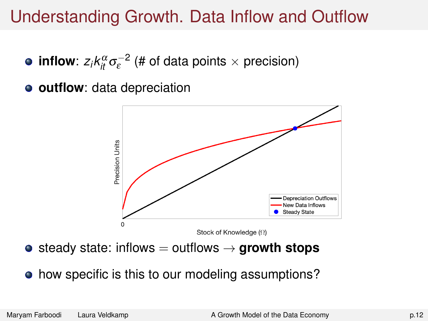### Understanding Growth. Data Inflow and Outflow

- $\textbf{inflow}$ :  $z_i k_{it}^\alpha \sigma^{-2}_\varepsilon$  (# of data points  $\times$  precision)
- **outflow**: data depreciation



- $\bullet$  steady state: inflows  $=$  outflows  $\rightarrow$  **growth stops**
- how specific is this to our modeling assumptions?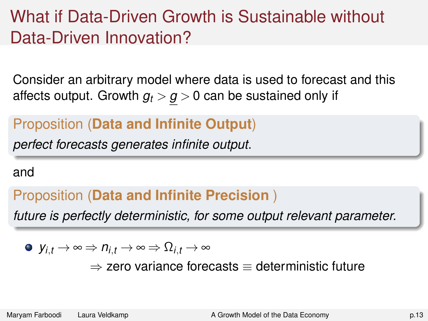## What if Data-Driven Growth is Sustainable without Data-Driven Innovation?

Consider an arbitrary model where data is used to forecast and this affects output. Growth  $g_t > g > 0$  can be sustained only if

### Proposition (**Data and Infinite Output**)

*perfect forecasts generates infinite output.*

#### and

### Proposition (**Data and Infinite Precision** )

*future is perfectly deterministic, for some output relevant parameter.*

$$
\bullet\ \ y_{i,t}\to\infty\Rightarrow\textstyle\tau_{i,t}\to\infty\Rightarrow\Omega_{i,t}\to\infty
$$

 $\Rightarrow$  zero variance forecasts  $\equiv$  deterministic future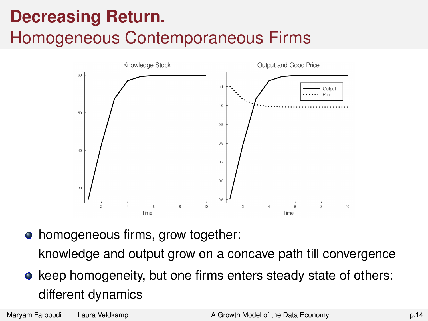## **Decreasing Return.**

### Homogeneous Contemporaneous Firms



homogeneous firms, grow together: knowledge and output grow on a concave path till convergence

• keep homogeneity, but one firms enters steady state of others: different dynamics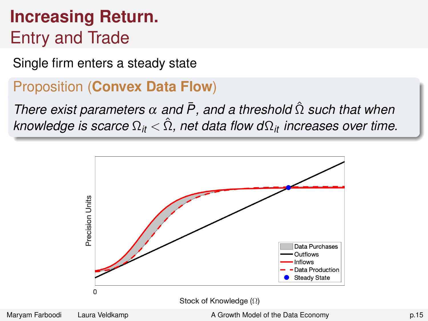## **Increasing Return.** Entry and Trade

Single firm enters a steady state

#### Proposition (**Convex Data Flow**)

*There exist parameters*  $\alpha$  *and*  $\bar{P}$ *, and a threshold*  $\hat{\Omega}$  *such that when knowledge is scarce*  $\Omega_{it} < \hat{\Omega}$ , net data flow  $d\Omega_{it}$  *increases over time.* 

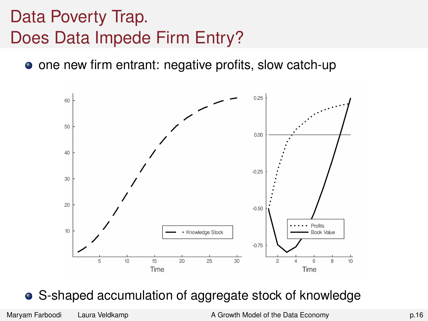## Data Poverty Trap. Does Data Impede Firm Entry?

**•** one new firm entrant: negative profits, slow catch-up



#### S-shaped accumulation of aggregate stock of knowledge

Maryam Farboodi Laura Veldkamp [A Growth Model of the Data Economy](#page-0-0) p.16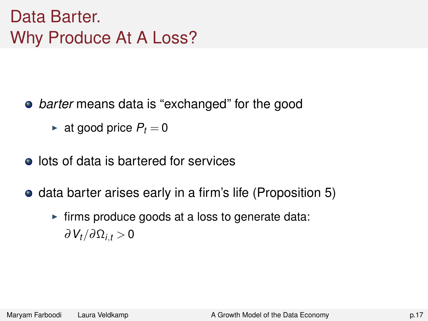## Data Barter. Why Produce At A Loss?

- *barter* means data is "exchanged" for the good
	- $\blacktriangleright$  at good price  $P_t = 0$
- **o** lots of data is bartered for services
- **•** data barter arises early in a firm's life (Proposition 5)
	- $\triangleright$  firms produce goods at a loss to generate data: ∂*Vt*/∂Ω*i*,*<sup>t</sup>* > 0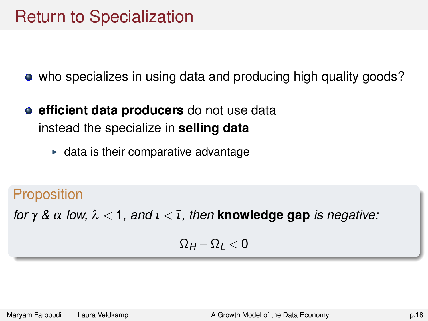### Return to Specialization

who specializes in using data and producing high quality goods?

- **e** efficient data producers do not use data instead the specialize in **selling data**
	- $\blacktriangleright$  data is their comparative advantage

### **Proposition**

*for*  $\gamma$  &  $\alpha$  *low,*  $\lambda$  < 1*, and*  $\iota$  <  $\bar{\iota}$ *, then* **knowledge gap** *is negative:* 

$$
\Omega_H\!-\!\Omega_L\!<\!0
$$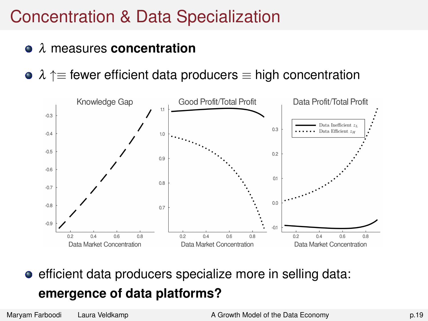### Concentration & Data Specialization

- λ measures **concentration**
- $\lambda \uparrow \equiv$  fewer efficient data producers  $\equiv$  high concentration



**e** efficient data producers specialize more in selling data: **emergence of data platforms?**

Maryam Farboodi Laura Veldkamp [A Growth Model of the Data Economy](#page-0-0) p.19